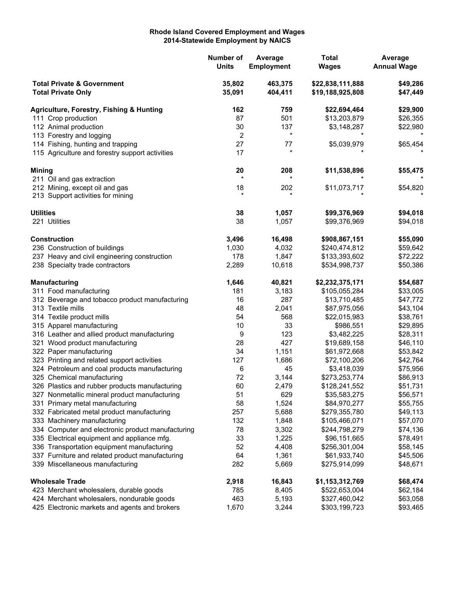## **Rhode Island Covered Employment and Wages 2014-Statewide Employment by NAICS**

|                                                                    |                                                                                             | Number of<br><b>Units</b> | Average<br><b>Employment</b> | <b>Total</b><br><b>Wages</b>         | Average<br><b>Annual Wage</b> |
|--------------------------------------------------------------------|---------------------------------------------------------------------------------------------|---------------------------|------------------------------|--------------------------------------|-------------------------------|
| <b>Total Private &amp; Government</b><br><b>Total Private Only</b> |                                                                                             | 35,802<br>35,091          | 463,375<br>404,411           | \$22,838,111,888<br>\$19,188,925,808 | \$49,286<br>\$47,449          |
|                                                                    | Agriculture, Forestry, Fishing & Hunting                                                    | 162                       | 759                          | \$22,694,464                         | \$29,900                      |
| 111 Crop production                                                |                                                                                             | 87                        | 501                          | \$13,203,879                         | \$26,355                      |
|                                                                    | 112 Animal production                                                                       | 30                        | 137                          | \$3,148,287                          | \$22,980                      |
|                                                                    | 113 Forestry and logging                                                                    | 2                         | $^\star$                     |                                      |                               |
|                                                                    | 114 Fishing, hunting and trapping                                                           | 27                        | 77                           | \$5,039,979                          | \$65,454                      |
|                                                                    | 115 Agriculture and forestry support activities                                             | 17                        | $\star$                      |                                      |                               |
| <b>Mining</b>                                                      |                                                                                             | 20                        | 208                          | \$11,538,896                         | \$55,475                      |
|                                                                    | 211 Oil and gas extraction                                                                  | $\star$                   |                              |                                      |                               |
|                                                                    | 212 Mining, except oil and gas                                                              | 18                        | 202                          | \$11,073,717                         | \$54,820                      |
|                                                                    | 213 Support activities for mining                                                           | $\star$                   |                              |                                      |                               |
| <b>Utilities</b>                                                   |                                                                                             | 38                        | 1,057                        | \$99,376,969                         | \$94,018                      |
|                                                                    | 221 Utilities                                                                               | 38                        | 1,057                        | \$99,376,969                         | \$94,018                      |
|                                                                    | <b>Construction</b>                                                                         | 3,496                     | 16,498                       | \$908,867,151                        | \$55,090                      |
|                                                                    | 236 Construction of buildings                                                               | 1,030                     | 4,032                        | \$240,474,812                        | \$59,642                      |
|                                                                    | 237 Heavy and civil engineering construction                                                | 178                       | 1,847                        | \$133,393,602                        | \$72,222                      |
|                                                                    | 238 Specialty trade contractors                                                             | 2,289                     | 10,618                       | \$534,998,737                        | \$50,386                      |
|                                                                    | <b>Manufacturing</b>                                                                        | 1,646                     | 40,821                       | \$2,232,375,171                      | \$54,687                      |
|                                                                    | 311 Food manufacturing                                                                      | 181                       | 3,183                        | \$105,055,284                        | \$33,005                      |
|                                                                    | 312 Beverage and tobacco product manufacturing                                              | 16                        | 287                          | \$13,710,485                         | \$47,772                      |
|                                                                    | 313 Textile mills                                                                           | 48                        | 2,041                        | \$87,975,056                         | \$43,104                      |
|                                                                    | 314 Textile product mills                                                                   | 54                        | 568                          | \$22,015,983                         | \$38,761                      |
|                                                                    | 315 Apparel manufacturing                                                                   | 10                        | 33                           | \$986,551                            | \$29,895                      |
|                                                                    | 316 Leather and allied product manufacturing                                                | 9                         | 123                          | \$3,482,225                          | \$28,311                      |
|                                                                    | 321 Wood product manufacturing                                                              | 28                        | 427                          | \$19,689,158                         | \$46,110                      |
|                                                                    | 322 Paper manufacturing                                                                     | 34                        | 1,151                        | \$61,972,668                         | \$53,842                      |
|                                                                    | 323 Printing and related support activities                                                 | 127                       | 1,686                        | \$72,100,206                         | \$42,764                      |
|                                                                    | 324 Petroleum and coal products manufacturing                                               | 6                         | 45                           | \$3,418,039                          | \$75,956                      |
|                                                                    | 325 Chemical manufacturing                                                                  | 72                        | 3,144                        | \$273,253,774                        | \$86,913                      |
|                                                                    | 326 Plastics and rubber products manufacturing                                              | 60                        | 2,479                        | \$128,241,552                        | \$51,731                      |
|                                                                    | 327 Nonmetallic mineral product manufacturing                                               | 51                        | 629                          | \$35,583,275                         | \$56,571                      |
|                                                                    | 331 Primary metal manufacturing                                                             | 58                        | 1,524                        | \$84,970,277                         | \$55,755                      |
|                                                                    | 332 Fabricated metal product manufacturing                                                  | 257                       | 5,688                        | \$279,355,780                        | \$49,113                      |
|                                                                    | 333 Machinery manufacturing                                                                 | 132                       | 1,848                        | \$105,466,071                        | \$57,070                      |
|                                                                    | 334 Computer and electronic product manufacturing                                           | 78                        | 3,302                        | \$244,798,279                        | \$74,136                      |
|                                                                    | 335 Electrical equipment and appliance mfg.                                                 | 33                        | 1,225                        | \$96,151,665                         | \$78,491                      |
|                                                                    | 336 Transportation equipment manufacturing                                                  | 52                        | 4,408                        | \$256,301,004                        | \$58,145                      |
|                                                                    | 337 Furniture and related product manufacturing<br>339 Miscellaneous manufacturing          | 64<br>282                 | 1,361<br>5,669               | \$61,933,740<br>\$275,914,099        | \$45,506<br>\$48,671          |
|                                                                    |                                                                                             |                           |                              |                                      |                               |
|                                                                    | <b>Wholesale Trade</b>                                                                      | 2,918                     | 16,843                       | \$1,153,312,769                      | \$68,474                      |
|                                                                    | 423 Merchant wholesalers, durable goods                                                     | 785<br>463                | 8,405                        | \$522,653,004                        | \$62,184                      |
|                                                                    | 424 Merchant wholesalers, nondurable goods<br>425 Electronic markets and agents and brokers | 1,670                     | 5,193<br>3,244               | \$327,460,042<br>\$303,199,723       | \$63,058<br>\$93,465          |
|                                                                    |                                                                                             |                           |                              |                                      |                               |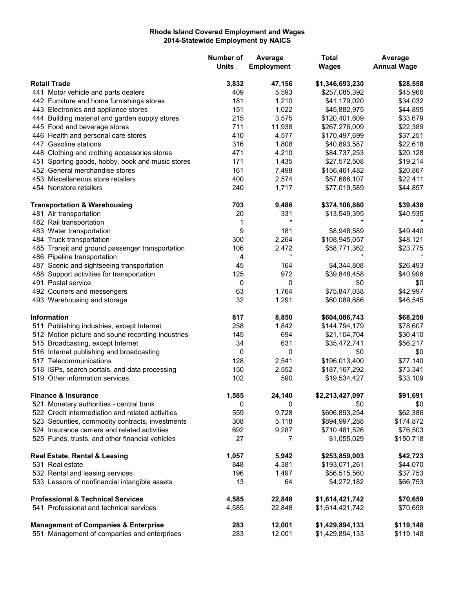## **Rhode Island Covered Employment and Wages 2014-Statewide Employment by NAICS**

|                     |                                                   | Number of<br><b>Units</b> | Average<br><b>Employment</b> | <b>Total</b><br><b>Wages</b> | Average<br><b>Annual Wage</b> |
|---------------------|---------------------------------------------------|---------------------------|------------------------------|------------------------------|-------------------------------|
| <b>Retail Trade</b> |                                                   | 3,832                     | 47,156                       | \$1,346,693,230              | \$28,558                      |
|                     | 441 Motor vehicle and parts dealers               | 409                       | 5,593                        | \$257,085,392                | \$45,966                      |
|                     | 442 Furniture and home furnishings stores         | 181                       | 1,210                        | \$41,179,020                 | \$34,032                      |
|                     | 443 Electronics and appliance stores              | 151                       | 1,022                        | \$45,882,975                 | \$44,895                      |
|                     | 444 Building material and garden supply stores    | 215                       | 3,575                        | \$120,401,609                | \$33,679                      |
|                     | 445 Food and beverage stores                      | 711                       | 11,938                       | \$267,276,009                | \$22,389                      |
|                     | 446 Health and personal care stores               | 410                       | 4,577                        | \$170,497,699                | \$37,251                      |
|                     | 447 Gasoline stations                             | 316                       | 1,808                        | \$40,893,587                 | \$22,618                      |
|                     | 448 Clothing and clothing accessories stores      | 471                       | 4,210                        | \$84,737,253                 | \$20,128                      |
|                     | 451 Sporting goods, hobby, book and music stores  | 171                       | 1,435                        | \$27,572,508                 | \$19,214                      |
|                     | 452 General merchandise stores                    | 161                       | 7,498                        | \$156,461,482                | \$20,867                      |
|                     | 453 Miscellaneous store retailers                 | 400                       | 2,574                        | \$57,686,107                 | \$22,411                      |
|                     | 454 Nonstore retailers                            | 240                       | 1,717                        | \$77,019,589                 | \$44,857                      |
|                     | <b>Transportation &amp; Warehousing</b>           | 703                       | 9,486                        | \$374,106,860                | \$39,438                      |
|                     | 481 Air transportation                            | 20                        | 331                          | \$13,549,395                 | \$40,935                      |
|                     | 482 Rail transportation                           | 1                         | $\star$                      |                              |                               |
|                     | 483 Water transportation                          | 9                         | 181                          | \$8,948,589                  | \$49,440                      |
|                     | 484 Truck transportation                          | 300                       | 2,264                        | \$108,945,057                | \$48,121                      |
|                     | 485 Transit and ground passenger transportation   | 106                       | 2,472                        | \$58,771,362                 | \$23,775                      |
|                     | 486 Pipeline transportation                       | 4                         | $^\star$                     |                              |                               |
|                     | 487 Scenic and sightseeing transportation         | 45                        | 164                          | \$4,344,808                  | \$26,493                      |
|                     | 488 Support activities for transportation         | 125                       | 972                          | \$39,848,458                 | \$40,996                      |
|                     | 491 Postal service                                | 0                         | 0                            | \$0                          | \$0                           |
|                     | 492 Couriers and messengers                       | 63                        | 1,764                        | \$75,847,038                 | \$42,997                      |
|                     | 493 Warehousing and storage                       | 32                        | 1,291                        | \$60,089,686                 | \$46,545                      |
|                     | <b>Information</b>                                | 817                       | 8,850                        | \$604,086,743                | \$68,258                      |
|                     | 511 Publishing industries, except Internet        | 258                       | 1,842                        | \$144,794,179                | \$78,607                      |
|                     | 512 Motion picture and sound recording industries | 145                       | 694                          | \$21,104,704                 | \$30,410                      |
|                     | 515 Broadcasting, except Internet                 | 34                        | 631                          | \$35,472,741                 | \$56,217                      |
|                     | 516 Internet publishing and broadcasting          | 0                         | 0                            | \$0                          | \$0                           |
|                     | 517 Telecommunications                            | 128                       | 2,541                        | \$196,013,400                | \$77,140                      |
|                     | 518 ISPs, search portals, and data processing     | 150                       | 2,552                        | \$187,167,292                | \$73,341                      |
|                     | 519 Other information services                    | 102                       | 590                          | \$19,534,427                 | \$33,109                      |
|                     | <b>Finance &amp; Insurance</b>                    | 1,585                     | 24,140                       | \$2,213,427,097              | \$91,691                      |
|                     | 521 Monetary authorities - central bank           | 0                         | 0                            | \$0                          | \$0                           |
|                     | 522 Credit intermediation and related activities  | 559                       | 9,728                        | \$606,893,254                | \$62,386                      |
|                     | 523 Securities, commodity contracts, investments  | 308                       | 5,118                        | \$894,997,288                | \$174,872                     |
|                     | 524 Insurance carriers and related activities     | 692                       | 9,287                        | \$710,481,526                | \$76,503                      |
|                     | 525 Funds, trusts, and other financial vehicles   | 27                        | 7                            | \$1,055,029                  | \$150,718                     |
|                     | Real Estate, Rental & Leasing                     | 1,057                     | 5,942                        | \$253,859,003                | \$42,723                      |
|                     | 531 Real estate                                   | 848                       | 4,381                        | \$193,071,261                | \$44,070                      |
|                     | 532 Rental and leasing services                   | 196                       | 1,497                        | \$56,515,560                 | \$37,753                      |
|                     | 533 Lessors of nonfinancial intangible assets     | 13                        | 64                           | \$4,272,182                  | \$66,753                      |
|                     | <b>Professional &amp; Technical Services</b>      | 4,585                     | 22,848                       | \$1,614,421,742              | \$70,659                      |
|                     | 541 Professional and technical services           | 4,585                     | 22,848                       | \$1,614,421,742              | \$70,659                      |
|                     | <b>Management of Companies &amp; Enterprise</b>   | 283                       | 12,001                       | \$1,429,894,133              | \$119,148                     |
|                     | 551 Management of companies and enterprises       | 283                       | 12,001                       | \$1,429,894,133              | \$119,148                     |